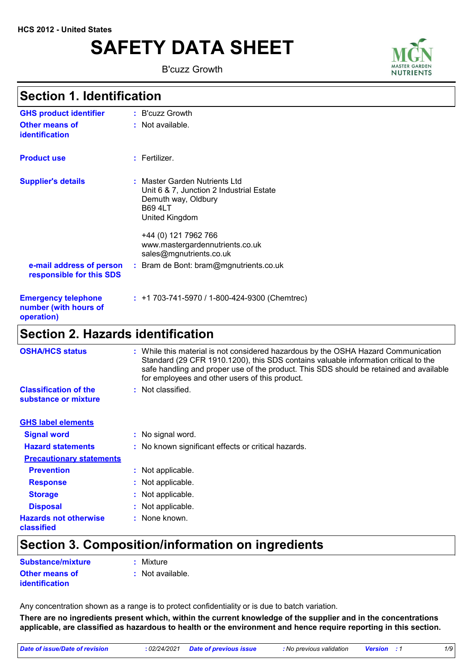# **SAFETY DATA SHEET**

B'cuzz Growth



### **Section 1. Identification**

| <b>GHS product identifier</b>                                     | : B'cuzz Growth                                                                                                                                                                                                            |
|-------------------------------------------------------------------|----------------------------------------------------------------------------------------------------------------------------------------------------------------------------------------------------------------------------|
| <b>Other means of</b><br>identification                           | : Not available.                                                                                                                                                                                                           |
| <b>Product use</b>                                                | $:$ Fertilizer.                                                                                                                                                                                                            |
| <b>Supplier's details</b>                                         | : Master Garden Nutrients Ltd<br>Unit 6 & 7, Junction 2 Industrial Estate<br>Demuth way, Oldbury<br><b>B69 4LT</b><br>United Kingdom<br>+44 (0) 121 7962 766<br>www.mastergardennutrients.co.uk<br>sales@mgnutrients.co.uk |
| e-mail address of person<br>responsible for this SDS              | : Bram de Bont: bram@mgnutrients.co.uk                                                                                                                                                                                     |
| <b>Emergency telephone</b><br>number (with hours of<br>operation) | $: +1703-741-5970/1-800-424-9300$ (Chemtrec)                                                                                                                                                                               |
| <b>Section 2. Hazards identification</b>                          |                                                                                                                                                                                                                            |

| <b>OSHA/HCS status</b>                               | While this material is not considered hazardous by the OSHA Hazard Communication<br>Standard (29 CFR 1910.1200), this SDS contains valuable information critical to the<br>safe handling and proper use of the product. This SDS should be retained and available<br>for employees and other users of this product. |
|------------------------------------------------------|---------------------------------------------------------------------------------------------------------------------------------------------------------------------------------------------------------------------------------------------------------------------------------------------------------------------|
| <b>Classification of the</b><br>substance or mixture | $:$ Not classified.                                                                                                                                                                                                                                                                                                 |
| <b>GHS label elements</b>                            |                                                                                                                                                                                                                                                                                                                     |
| <b>Signal word</b>                                   | : No signal word.                                                                                                                                                                                                                                                                                                   |
| <b>Hazard statements</b>                             | : No known significant effects or critical hazards.                                                                                                                                                                                                                                                                 |
| <b>Precautionary statements</b>                      |                                                                                                                                                                                                                                                                                                                     |
| <b>Prevention</b>                                    | : Not applicable.                                                                                                                                                                                                                                                                                                   |
| <b>Response</b>                                      | : Not applicable.                                                                                                                                                                                                                                                                                                   |
| <b>Storage</b>                                       | : Not applicable.                                                                                                                                                                                                                                                                                                   |
| <b>Disposal</b>                                      | : Not applicable.                                                                                                                                                                                                                                                                                                   |
| <b>Hazards not otherwise</b><br>classified           | : None known.                                                                                                                                                                                                                                                                                                       |

# **Section 3. Composition/information on ingredients**

| Substance/mixture                              | : Mixture        |
|------------------------------------------------|------------------|
| <b>Other means of</b><br><b>identification</b> | : Not available. |

Any concentration shown as a range is to protect confidentiality or is due to batch variation.

**There are no ingredients present which, within the current knowledge of the supplier and in the concentrations applicable, are classified as hazardous to health or the environment and hence require reporting in this section.**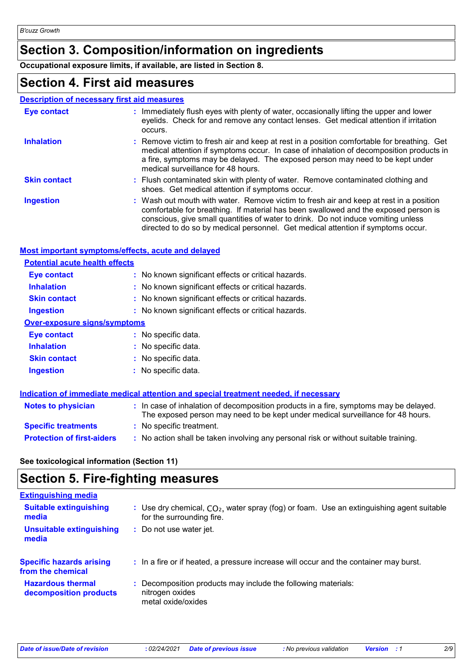# **Section 3. Composition/information on ingredients**

**Occupational exposure limits, if available, are listed in Section 8.**

# **Section 4. First aid measures**

#### **Description of necessary first aid measures**

| <b>Eye contact</b>  | : Immediately flush eyes with plenty of water, occasionally lifting the upper and lower<br>eyelids. Check for and remove any contact lenses. Get medical attention if irritation<br>occurs.                                                                                                                                                            |
|---------------------|--------------------------------------------------------------------------------------------------------------------------------------------------------------------------------------------------------------------------------------------------------------------------------------------------------------------------------------------------------|
| <b>Inhalation</b>   | : Remove victim to fresh air and keep at rest in a position comfortable for breathing. Get<br>medical attention if symptoms occur. In case of inhalation of decomposition products in<br>a fire, symptoms may be delayed. The exposed person may need to be kept under<br>medical surveillance for 48 hours.                                           |
| <b>Skin contact</b> | : Flush contaminated skin with plenty of water. Remove contaminated clothing and<br>shoes. Get medical attention if symptoms occur.                                                                                                                                                                                                                    |
| <b>Ingestion</b>    | : Wash out mouth with water. Remove victim to fresh air and keep at rest in a position<br>comfortable for breathing. If material has been swallowed and the exposed person is<br>conscious, give small quantities of water to drink. Do not induce vomiting unless<br>directed to do so by medical personnel. Get medical attention if symptoms occur. |

#### **Most important symptoms/effects, acute and delayed**

| <b>Potential acute health effects</b> |                                                     |
|---------------------------------------|-----------------------------------------------------|
| Eye contact                           | : No known significant effects or critical hazards. |
| <b>Inhalation</b>                     | : No known significant effects or critical hazards. |
| <b>Skin contact</b>                   | : No known significant effects or critical hazards. |
| <b>Ingestion</b>                      | : No known significant effects or critical hazards. |
| <b>Over-exposure signs/symptoms</b>   |                                                     |
| Eye contact                           | : No specific data.                                 |
| <b>Inhalation</b>                     | : No specific data.                                 |
| <b>Skin contact</b>                   | : No specific data.                                 |
| <b>Ingestion</b>                      | $:$ No specific data.                               |

|                                   | Indication of immediate medical attention and special treatment needed, if necessary                                                                                     |
|-----------------------------------|--------------------------------------------------------------------------------------------------------------------------------------------------------------------------|
| <b>Notes to physician</b>         | : In case of inhalation of decomposition products in a fire, symptoms may be delayed.<br>The exposed person may need to be kept under medical surveillance for 48 hours. |
| <b>Specific treatments</b>        | : No specific treatment.                                                                                                                                                 |
| <b>Protection of first-aiders</b> | : No action shall be taken involving any personal risk or without suitable training.                                                                                     |

**See toxicological information (Section 11)**

## **Section 5. Fire-fighting measures**

| <b>Extinguishing media</b>                           |                                                                                                                         |
|------------------------------------------------------|-------------------------------------------------------------------------------------------------------------------------|
| <b>Suitable extinguishing</b><br>media               | : Use dry chemical, $CO2$ , water spray (fog) or foam. Use an extinguishing agent suitable<br>for the surrounding fire. |
| <b>Unsuitable extinguishing</b><br>media             | Do not use water jet.                                                                                                   |
| <b>Specific hazards arising</b><br>from the chemical | : In a fire or if heated, a pressure increase will occur and the container may burst.                                   |
| <b>Hazardous thermal</b><br>decomposition products   | Decomposition products may include the following materials:<br>nitrogen oxides<br>metal oxide/oxides                    |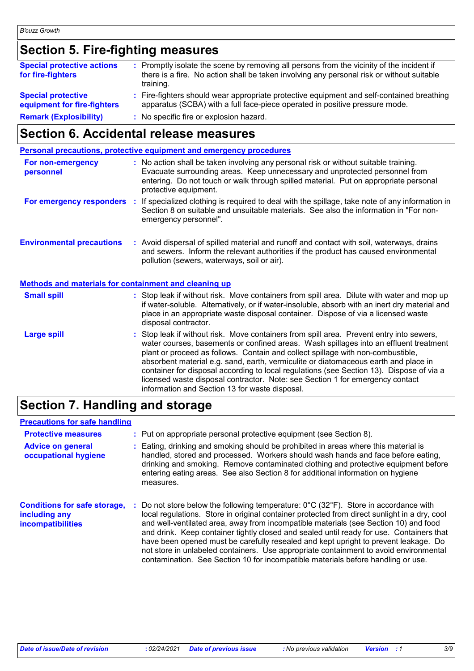# **Section 5. Fire-fighting measures**

| <b>Special protective actions</b><br>for fire-fighters   | : Promptly isolate the scene by removing all persons from the vicinity of the incident if<br>there is a fire. No action shall be taken involving any personal risk or without suitable<br>training. |
|----------------------------------------------------------|-----------------------------------------------------------------------------------------------------------------------------------------------------------------------------------------------------|
| <b>Special protective</b><br>equipment for fire-fighters | : Fire-fighters should wear appropriate protective equipment and self-contained breathing<br>apparatus (SCBA) with a full face-piece operated in positive pressure mode.                            |
| <b>Remark (Explosibility)</b>                            | : No specific fire or explosion hazard.                                                                                                                                                             |

# **Section 6. Accidental release measures**

|                                                       | <b>Personal precautions, protective equipment and emergency procedures</b>                                                                                                                                                                                                                                                                                                                                                                                                                                                                                                                 |
|-------------------------------------------------------|--------------------------------------------------------------------------------------------------------------------------------------------------------------------------------------------------------------------------------------------------------------------------------------------------------------------------------------------------------------------------------------------------------------------------------------------------------------------------------------------------------------------------------------------------------------------------------------------|
| For non-emergency<br>personnel                        | : No action shall be taken involving any personal risk or without suitable training.<br>Evacuate surrounding areas. Keep unnecessary and unprotected personnel from<br>entering. Do not touch or walk through spilled material. Put on appropriate personal<br>protective equipment.                                                                                                                                                                                                                                                                                                       |
|                                                       | For emergency responders : If specialized clothing is required to deal with the spillage, take note of any information in<br>Section 8 on suitable and unsuitable materials. See also the information in "For non-<br>emergency personnel".                                                                                                                                                                                                                                                                                                                                                |
| <b>Environmental precautions</b>                      | : Avoid dispersal of spilled material and runoff and contact with soil, waterways, drains<br>and sewers. Inform the relevant authorities if the product has caused environmental<br>pollution (sewers, waterways, soil or air).                                                                                                                                                                                                                                                                                                                                                            |
| Methods and materials for containment and cleaning up |                                                                                                                                                                                                                                                                                                                                                                                                                                                                                                                                                                                            |
| <b>Small spill</b>                                    | : Stop leak if without risk. Move containers from spill area. Dilute with water and mop up<br>if water-soluble. Alternatively, or if water-insoluble, absorb with an inert dry material and<br>place in an appropriate waste disposal container. Dispose of via a licensed waste<br>disposal contractor.                                                                                                                                                                                                                                                                                   |
| <b>Large spill</b>                                    | : Stop leak if without risk. Move containers from spill area. Prevent entry into sewers,<br>water courses, basements or confined areas. Wash spillages into an effluent treatment<br>plant or proceed as follows. Contain and collect spillage with non-combustible,<br>absorbent material e.g. sand, earth, vermiculite or diatomaceous earth and place in<br>container for disposal according to local regulations (see Section 13). Dispose of via a<br>licensed waste disposal contractor. Note: see Section 1 for emergency contact<br>information and Section 13 for waste disposal. |

### **Section 7. Handling and storage**

#### **Precautions for safe handling**

| <b>Protective measures</b>                                                       |   | : Put on appropriate personal protective equipment (see Section 8).                                                                                                                                                                                                                                                                                                                                                                                                                                                                                                                                                                                             |
|----------------------------------------------------------------------------------|---|-----------------------------------------------------------------------------------------------------------------------------------------------------------------------------------------------------------------------------------------------------------------------------------------------------------------------------------------------------------------------------------------------------------------------------------------------------------------------------------------------------------------------------------------------------------------------------------------------------------------------------------------------------------------|
| <b>Advice on general</b><br>occupational hygiene                                 |   | Eating, drinking and smoking should be prohibited in areas where this material is<br>handled, stored and processed. Workers should wash hands and face before eating,<br>drinking and smoking. Remove contaminated clothing and protective equipment before<br>entering eating areas. See also Section 8 for additional information on hygiene<br>measures.                                                                                                                                                                                                                                                                                                     |
| <b>Conditions for safe storage,</b><br>including any<br><b>incompatibilities</b> | ÷ | Do not store below the following temperature: $0^{\circ}$ C (32 $^{\circ}$ F). Store in accordance with<br>local regulations. Store in original container protected from direct sunlight in a dry, cool<br>and well-ventilated area, away from incompatible materials (see Section 10) and food<br>and drink. Keep container tightly closed and sealed until ready for use. Containers that<br>have been opened must be carefully resealed and kept upright to prevent leakage. Do<br>not store in unlabeled containers. Use appropriate containment to avoid environmental<br>contamination. See Section 10 for incompatible materials before handling or use. |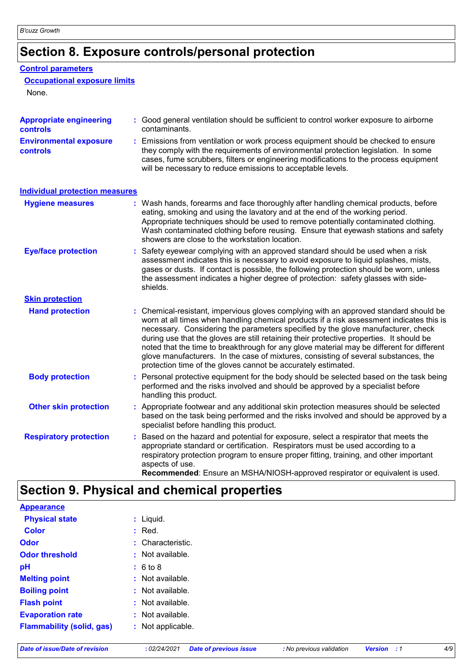# **Section 8. Exposure controls/personal protection**

#### **Control parameters**

#### **Occupational exposure limits**

None.

| <b>Appropriate engineering</b><br>controls       | : Good general ventilation should be sufficient to control worker exposure to airborne<br>contaminants.                                                                                                                                                                                                                                                                                                                                                                                                                                                                                                                |
|--------------------------------------------------|------------------------------------------------------------------------------------------------------------------------------------------------------------------------------------------------------------------------------------------------------------------------------------------------------------------------------------------------------------------------------------------------------------------------------------------------------------------------------------------------------------------------------------------------------------------------------------------------------------------------|
| <b>Environmental exposure</b><br><b>controls</b> | : Emissions from ventilation or work process equipment should be checked to ensure<br>they comply with the requirements of environmental protection legislation. In some<br>cases, fume scrubbers, filters or engineering modifications to the process equipment<br>will be necessary to reduce emissions to acceptable levels.                                                                                                                                                                                                                                                                                        |
| <b>Individual protection measures</b>            |                                                                                                                                                                                                                                                                                                                                                                                                                                                                                                                                                                                                                        |
| <b>Hygiene measures</b>                          | : Wash hands, forearms and face thoroughly after handling chemical products, before<br>eating, smoking and using the lavatory and at the end of the working period.<br>Appropriate techniques should be used to remove potentially contaminated clothing.<br>Wash contaminated clothing before reusing. Ensure that eyewash stations and safety<br>showers are close to the workstation location.                                                                                                                                                                                                                      |
| <b>Eye/face protection</b>                       | : Safety eyewear complying with an approved standard should be used when a risk<br>assessment indicates this is necessary to avoid exposure to liquid splashes, mists,<br>gases or dusts. If contact is possible, the following protection should be worn, unless<br>the assessment indicates a higher degree of protection: safety glasses with side-<br>shields.                                                                                                                                                                                                                                                     |
| <b>Skin protection</b>                           |                                                                                                                                                                                                                                                                                                                                                                                                                                                                                                                                                                                                                        |
| <b>Hand protection</b>                           | : Chemical-resistant, impervious gloves complying with an approved standard should be<br>worn at all times when handling chemical products if a risk assessment indicates this is<br>necessary. Considering the parameters specified by the glove manufacturer, check<br>during use that the gloves are still retaining their protective properties. It should be<br>noted that the time to breakthrough for any glove material may be different for different<br>glove manufacturers. In the case of mixtures, consisting of several substances, the<br>protection time of the gloves cannot be accurately estimated. |
| <b>Body protection</b>                           | : Personal protective equipment for the body should be selected based on the task being<br>performed and the risks involved and should be approved by a specialist before<br>handling this product.                                                                                                                                                                                                                                                                                                                                                                                                                    |
| <b>Other skin protection</b>                     | : Appropriate footwear and any additional skin protection measures should be selected<br>based on the task being performed and the risks involved and should be approved by a<br>specialist before handling this product.                                                                                                                                                                                                                                                                                                                                                                                              |
| <b>Respiratory protection</b>                    | : Based on the hazard and potential for exposure, select a respirator that meets the<br>appropriate standard or certification. Respirators must be used according to a<br>respiratory protection program to ensure proper fitting, training, and other important<br>aspects of use.<br>Recommended: Ensure an MSHA/NIOSH-approved respirator or equivalent is used.                                                                                                                                                                                                                                                    |

# **Section 9. Physical and chemical properties**

| <b>Appearance</b>                |                   |
|----------------------------------|-------------------|
| <b>Physical state</b>            | $:$ Liquid.       |
| <b>Color</b>                     | $:$ Red.          |
| <b>Odor</b>                      | : Characteristic. |
| <b>Odor threshold</b>            | : Not available.  |
| pH                               | : 6 to 8          |
| <b>Melting point</b>             | : Not available.  |
| <b>Boiling point</b>             | : Not available.  |
| <b>Flash point</b>               | : Not available.  |
| <b>Evaporation rate</b>          | : Not available.  |
| <b>Flammability (solid, gas)</b> | : Not applicable. |
|                                  |                   |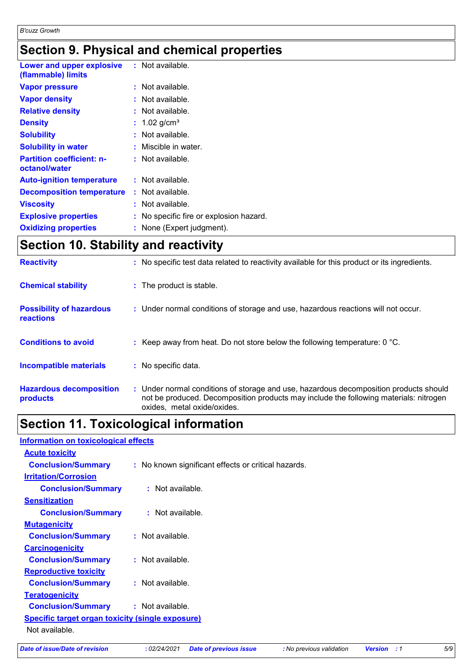# **Section 9. Physical and chemical properties**

| Lower and upper explosive<br>(flammable) limits   | : Not available.                        |
|---------------------------------------------------|-----------------------------------------|
| <b>Vapor pressure</b>                             | $:$ Not available.                      |
| <b>Vapor density</b>                              | : Not available.                        |
| <b>Relative density</b>                           | : Not available.                        |
| <b>Density</b>                                    | : $1.02$ g/cm <sup>3</sup>              |
| <b>Solubility</b>                                 | : Not available.                        |
| <b>Solubility in water</b>                        | : Miscible in water.                    |
| <b>Partition coefficient: n-</b><br>octanol/water | : Not available.                        |
| <b>Auto-ignition temperature</b>                  | : Not available.                        |
| <b>Decomposition temperature</b>                  | : Not available.                        |
| <b>Viscosity</b>                                  | : Not available.                        |
| <b>Explosive properties</b>                       | : No specific fire or explosion hazard. |
| <b>Oxidizing properties</b>                       | : None (Expert judgment).               |

# **Section 10. Stability and reactivity**

| <b>Reactivity</b>                                   | : No specific test data related to reactivity available for this product or its ingredients.                                                                                                                  |
|-----------------------------------------------------|---------------------------------------------------------------------------------------------------------------------------------------------------------------------------------------------------------------|
| <b>Chemical stability</b>                           | : The product is stable.                                                                                                                                                                                      |
| <b>Possibility of hazardous</b><br><b>reactions</b> | : Under normal conditions of storage and use, hazardous reactions will not occur.                                                                                                                             |
| <b>Conditions to avoid</b>                          | : Keep away from heat. Do not store below the following temperature: $0^{\circ}$ C.                                                                                                                           |
| <b>Incompatible materials</b>                       | : No specific data.                                                                                                                                                                                           |
| <b>Hazardous decomposition</b><br>products          | : Under normal conditions of storage and use, hazardous decomposition products should<br>not be produced. Decomposition products may include the following materials: nitrogen<br>oxides, metal oxide/oxides. |

## **Section 11. Toxicological information**

#### **Information on toxicological effects**

| <b>Acute toxicity</b>                                   |                                                     |
|---------------------------------------------------------|-----------------------------------------------------|
| <b>Conclusion/Summary</b>                               | : No known significant effects or critical hazards. |
| <b>Irritation/Corrosion</b>                             |                                                     |
| <b>Conclusion/Summary</b>                               | : Not available.                                    |
| <b>Sensitization</b>                                    |                                                     |
| <b>Conclusion/Summary</b>                               | : Not available.                                    |
| <b>Mutagenicity</b>                                     |                                                     |
| <b>Conclusion/Summary</b>                               | $:$ Not available.                                  |
| <b>Carcinogenicity</b>                                  |                                                     |
| <b>Conclusion/Summary</b>                               | : Not available.                                    |
| <b>Reproductive toxicity</b>                            |                                                     |
| <b>Conclusion/Summary</b>                               | $:$ Not available.                                  |
| <b>Teratogenicity</b>                                   |                                                     |
| <b>Conclusion/Summary</b>                               | : Not available.                                    |
| <b>Specific target organ toxicity (single exposure)</b> |                                                     |
| Not available.                                          |                                                     |
|                                                         |                                                     |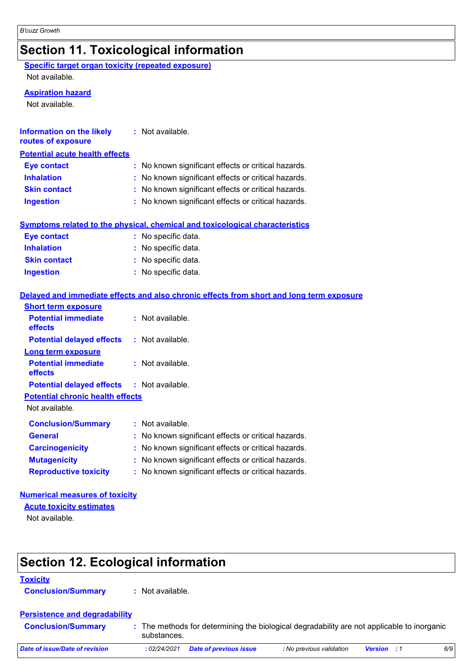# **Section 11. Toxicological information**

**Specific target organ toxicity (repeated exposure)**

Not available.

#### **Aspiration hazard**

Not available.

| <b>Information on the likely</b><br>routes of exposure    | : Not available.                                                                         |
|-----------------------------------------------------------|------------------------------------------------------------------------------------------|
| <b>Potential acute health effects</b>                     |                                                                                          |
| <b>Eye contact</b>                                        | No known significant effects or critical hazards.                                        |
| <b>Inhalation</b>                                         | No known significant effects or critical hazards.                                        |
| <b>Skin contact</b>                                       | No known significant effects or critical hazards.                                        |
| <b>Ingestion</b>                                          | No known significant effects or critical hazards.                                        |
|                                                           | <b>Symptoms related to the physical, chemical and toxicological characteristics</b>      |
| <b>Eye contact</b>                                        | : No specific data.                                                                      |
| <b>Inhalation</b>                                         | : No specific data.                                                                      |
| <b>Skin contact</b>                                       | No specific data.                                                                        |
| <b>Ingestion</b>                                          | : No specific data.                                                                      |
|                                                           | Delayed and immediate effects and also chronic effects from short and long term exposure |
| <b>Short term exposure</b>                                |                                                                                          |
| <b>Potential immediate</b><br>effects                     | : Not available.                                                                         |
| <b>Potential delayed effects</b>                          | : Not available.                                                                         |
| <b>Long term exposure</b>                                 |                                                                                          |
| <b>Potential immediate</b><br>effects                     | : Not available.                                                                         |
| <b>Potential delayed effects</b>                          | : Not available.                                                                         |
| <b>Potential chronic health effects</b><br>Not available. |                                                                                          |
| <b>Conclusion/Summary</b>                                 | : Not available.                                                                         |
| <b>General</b>                                            | No known significant effects or critical hazards.                                        |
| <b>Carcinogenicity</b>                                    | No known significant effects or critical hazards.                                        |
| <b>Mutagenicity</b>                                       | No known significant effects or critical hazards.<br>t.                                  |
| <b>Reproductive toxicity</b>                              | No known significant effects or critical hazards.                                        |

#### **Numerical measures of toxicity**

**Acute toxicity estimates**

Not available.

# **Section 12. Ecological information**

#### **Toxicity**

**Conclusion/Summary :** Not available.

#### **Persistence and degradability**

| The methods for determining the biological degradability are not applicable to inorganic<br><b>Conclusion/Summary</b><br>substances. |  |
|--------------------------------------------------------------------------------------------------------------------------------------|--|
|--------------------------------------------------------------------------------------------------------------------------------------|--|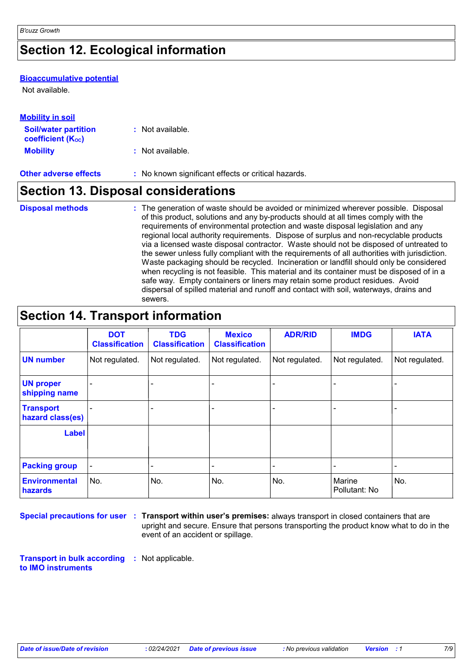# **Section 12. Ecological information**

#### **Bioaccumulative potential**

Not available.

| <b>Mobility in soil</b>                                       |                                                     |  |
|---------------------------------------------------------------|-----------------------------------------------------|--|
| <b>Soil/water partition</b><br>coefficient (K <sub>oc</sub> ) | : Not available.                                    |  |
| <b>Mobility</b>                                               | : Not available.                                    |  |
| <b>Other adverse effects</b>                                  | : No known significant effects or critical hazards. |  |

# **Section 13. Disposal considerations**

| <b>Disposal methods</b> | : The generation of waste should be avoided or minimized wherever possible. Disposal                                                                                     |
|-------------------------|--------------------------------------------------------------------------------------------------------------------------------------------------------------------------|
|                         | of this product, solutions and any by-products should at all times comply with the                                                                                       |
|                         | requirements of environmental protection and waste disposal legislation and any<br>regional local authority requirements. Dispose of surplus and non-recyclable products |
|                         | via a licensed waste disposal contractor. Waste should not be disposed of untreated to                                                                                   |
|                         | the sewer unless fully compliant with the requirements of all authorities with jurisdiction.                                                                             |
|                         | Waste packaging should be recycled. Incineration or landfill should only be considered                                                                                   |
|                         | when recycling is not feasible. This material and its container must be disposed of in a                                                                                 |
|                         | safe way. Empty containers or liners may retain some product residues. Avoid                                                                                             |
|                         | dispersal of spilled material and runoff and contact with soil, waterways, drains and                                                                                    |
|                         | sewers.                                                                                                                                                                  |

# **Section 14. Transport information**

|                                        | <b>DOT</b><br><b>Classification</b> | <b>TDG</b><br><b>Classification</b> | <b>Mexico</b><br><b>Classification</b> | <b>ADR/RID</b>           | <b>IMDG</b>             | <b>IATA</b>    |
|----------------------------------------|-------------------------------------|-------------------------------------|----------------------------------------|--------------------------|-------------------------|----------------|
| <b>UN number</b>                       | Not regulated.                      | Not regulated.                      | Not regulated.                         | Not regulated.           | Not regulated.          | Not regulated. |
| <b>UN proper</b><br>shipping name      |                                     |                                     |                                        |                          |                         |                |
| <b>Transport</b><br>hazard class(es)   |                                     |                                     |                                        |                          |                         |                |
| <b>Label</b>                           |                                     |                                     |                                        |                          |                         |                |
| <b>Packing group</b>                   |                                     |                                     |                                        | $\overline{\phantom{0}}$ |                         | ٠              |
| <b>Environmental</b><br><b>hazards</b> | No.                                 | No.                                 | No.                                    | No.                      | Marine<br>Pollutant: No | No.            |

**Special precautions for user Transport within user's premises:** always transport in closed containers that are **:** upright and secure. Ensure that persons transporting the product know what to do in the event of an accident or spillage.

**Transport in bulk according :** Not applicable. **to IMO instruments**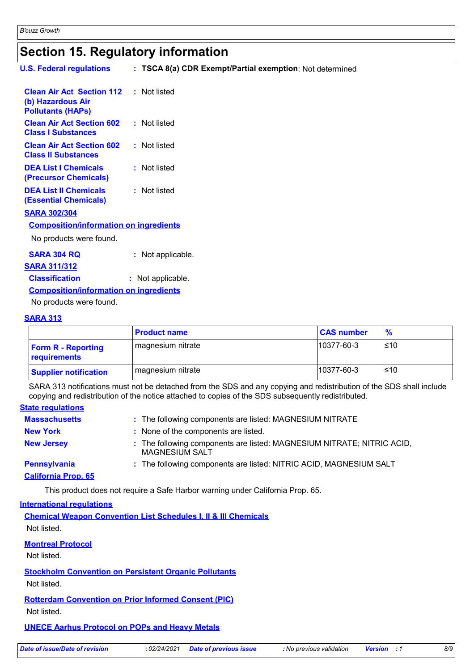### **Section 15. Regulatory information**

| <b>U.S. Federal regulations</b>                                                   | : TSCA 8(a) CDR Exempt/Partial exemption: Not determined |
|-----------------------------------------------------------------------------------|----------------------------------------------------------|
| <b>Clean Air Act Section 112</b><br>(b) Hazardous Air<br><b>Pollutants (HAPs)</b> | : Not listed                                             |
| <b>Clean Air Act Section 602</b><br><b>Class I Substances</b>                     | : Not listed                                             |
| <b>Clean Air Act Section 602</b><br><b>Class II Substances</b>                    | : Not listed                                             |
| <b>DEA List I Chemicals</b><br>(Precursor Chemicals)                              | : Not listed                                             |
| <b>DEA List II Chemicals</b><br><b>(Essential Chemicals)</b>                      | : Not listed                                             |
| <b>SARA 302/304</b>                                                               |                                                          |
| <b>Composition/information on ingredients</b>                                     |                                                          |
| No products were found.                                                           |                                                          |
| <b>SARA 304 RQ</b>                                                                | : Not applicable.                                        |
| <b>SARA 311/312</b>                                                               |                                                          |
| <b>Classification</b>                                                             | : Not applicable.                                        |
| <b>Composition/information on ingredients</b>                                     |                                                          |

No products were found.

#### **SARA 313**

|                                           | <b>Product name</b> | <b>CAS number</b> | $\frac{9}{6}$ |
|-------------------------------------------|---------------------|-------------------|---------------|
| <b>Form R - Reporting</b><br>requirements | magnesium nitrate   | 10377-60-3        | ≤10           |
| <b>Supplier notification</b>              | magnesium nitrate   | 10377-60-3        | ≤10           |

SARA 313 notifications must not be detached from the SDS and any copying and redistribution of the SDS shall include copying and redistribution of the notice attached to copies of the SDS subsequently redistributed.

#### **State regulations**

| <b>Massachusetts</b>       |                                      | : The following components are listed: MAGNESIUM NITRATE               |
|----------------------------|--------------------------------------|------------------------------------------------------------------------|
| <b>New York</b>            | : None of the components are listed. |                                                                        |
| <b>New Jersey</b>          | <b>MAGNESIUM SALT</b>                | : The following components are listed: MAGNESIUM NITRATE; NITRIC ACID, |
| <b>Pennsylvania</b>        |                                      | : The following components are listed: NITRIC ACID, MAGNESIUM SALT     |
| <b>California Prop. 65</b> |                                      |                                                                        |

This product does not require a Safe Harbor warning under California Prop. 65.

#### **International regulations**

**Chemical Weapon Convention List Schedules I, II & III Chemicals** Not listed.

#### **Montreal Protocol**

Not listed.

**Stockholm Convention on Persistent Organic Pollutants**

Not listed.

**Rotterdam Convention on Prior Informed Consent (PIC)**

Not listed.

#### **UNECE Aarhus Protocol on POPs and Heavy Metals**